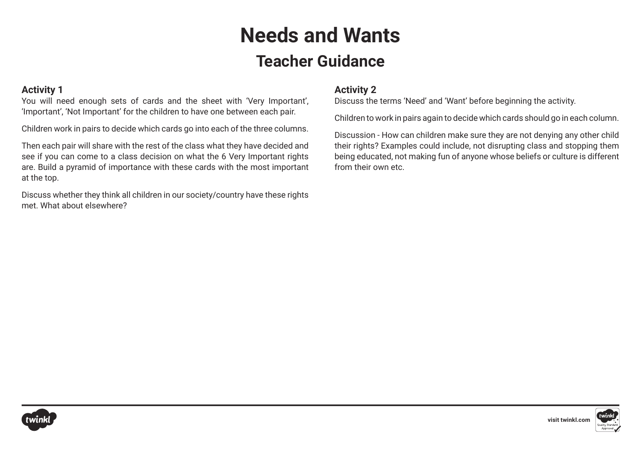### **Needs and Wants Teacher Guidance**

### **Activity 1**

You will need enough sets of cards and the sheet with 'Very Important', 'Important', 'Not Important' for the children to have one between each pair.

Children work in pairs to decide which cards go into each of the three columns.

Then each pair will share with the rest of the class what they have decided and see if you can come to a class decision on what the 6 Very Important rights are. Build a pyramid of importance with these cards with the most important at the top.

Discuss whether they think all children in our society/country have these rights met. What about elsewhere?

### **Activity 2**

Discuss the terms 'Need' and 'Want' before beginning the activity.

Children to work in pairs again to decide which cards should go in each column.

Discussion - How can children make sure they are not denying any other child their rights? Examples could include, not disrupting class and stopping them being educated, not making fun of anyone whose beliefs or culture is different from their own etc.



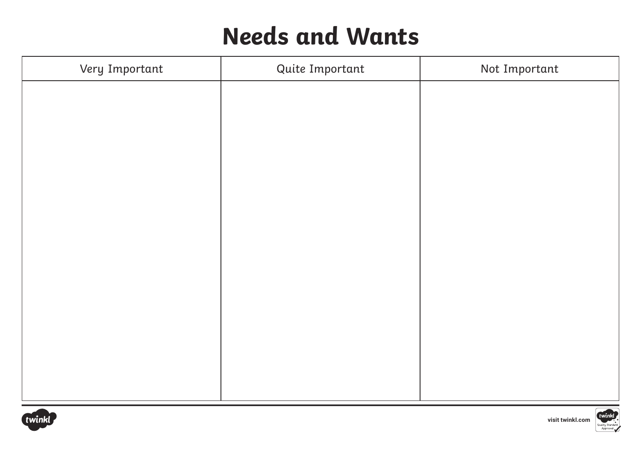| Very Important | Quite Important | Not Important |
|----------------|-----------------|---------------|
|                |                 |               |
|                |                 |               |
|                |                 |               |
|                |                 |               |
|                |                 |               |
|                |                 |               |
|                |                 |               |
|                |                 |               |
|                |                 |               |
|                |                 |               |
|                |                 |               |
|                |                 |               |
|                |                 |               |



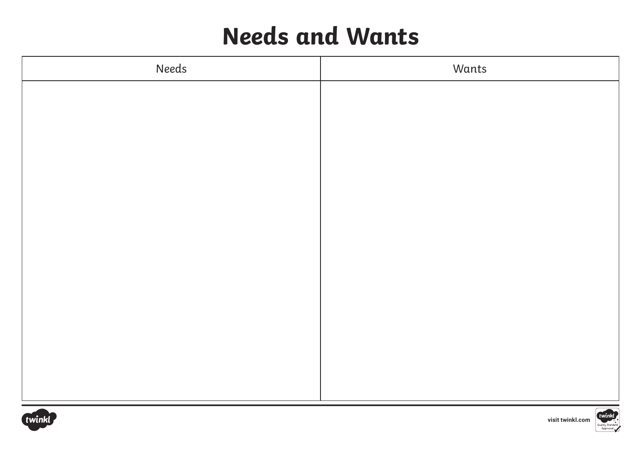| Needs | Wants |
|-------|-------|
|       |       |
|       |       |
|       |       |
|       |       |
|       |       |
|       |       |
|       |       |
|       |       |
|       |       |
|       |       |
|       |       |
|       |       |
|       |       |
|       |       |



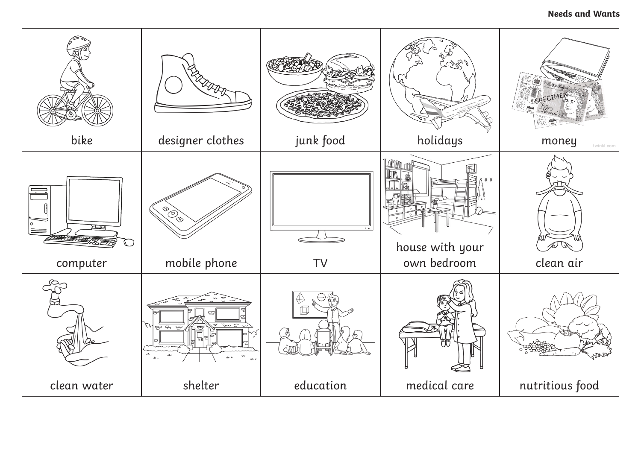